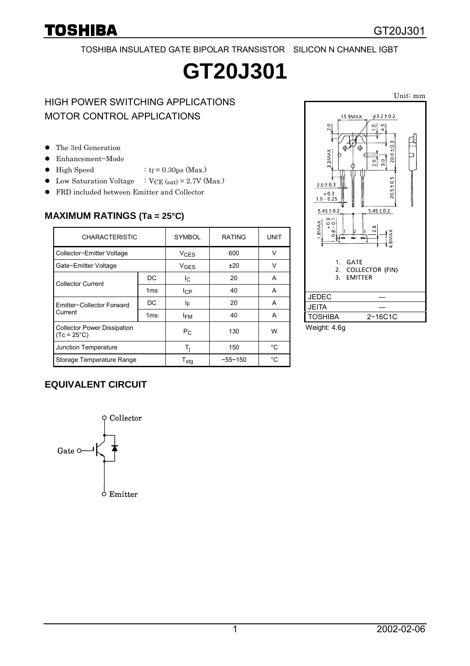#### TOSHIBA INSULATED GATE BIPOLAR TRANSISTOR SILICON N CHANNEL IGBT

# **GT20J301**

## HIGH POWER SWITCHING APPLICATIONS MOTOR CONTROL APPLICATIONS

- The 3rd Generation
- Enhancement-Mode
- High Speed :  $tf = 0.30 \mu s$  (Max.)
- Low Saturation Voltage  $\therefore$  VCE (sat) = 2.7V (Max.)
- **•** FRD included between Emitter and Collector

#### **MAXIMUM RATINGS (Ta = 25°C)**

| <b>CHARACTERISTIC</b>                                      |                 | <b>SYMBOL</b>          | <b>RATING</b> | <b>UNIT</b> |  |
|------------------------------------------------------------|-----------------|------------------------|---------------|-------------|--|
| Collector-Emitter Voltage                                  |                 | $V_{CES}$              | 600           | v           |  |
| Gate-Emitter Voltage                                       |                 | <b>V<sub>GFS</sub></b> | ±20           | v           |  |
| <b>Collector Current</b>                                   | DC              | Iс                     | 20            | A           |  |
|                                                            | 1 <sub>ms</sub> | <b>I</b> CP            | 40            | A           |  |
| Emitter-Collector Forward<br>Current                       | DC              | ΙF                     | 20            | A           |  |
|                                                            | 1 <sub>ms</sub> | <b>IFM</b>             | 40            | A           |  |
| <b>Collector Power Dissipation</b><br>$(Tc = 25^{\circ}C)$ |                 | $P_{C}$                | 130           | W           |  |
| Junction Temperature                                       |                 | Ti                     | 150           | °C          |  |
| Storage Temperature Range                                  |                 | $T_{\text{stg}}$       | $-55 - 150$   | °C          |  |



Weight: 4.6g

#### **EQUIVALENT CIRCUIT**

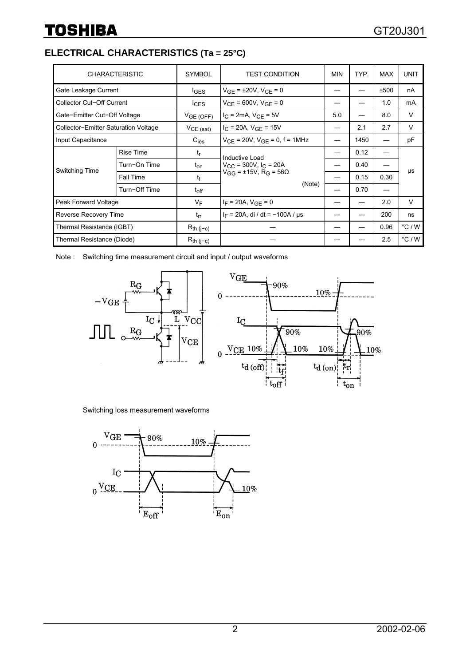### **ELECTRICAL CHARACTERISTICS (Ta = 25°C)**

| <b>CHARACTERISTIC</b>                |                  | <b>SYMBOL</b>    | <b>TEST CONDITION</b>                                                                                          | <b>MIN</b> | TYP. | <b>MAX</b> | <b>UNIT</b>     |
|--------------------------------------|------------------|------------------|----------------------------------------------------------------------------------------------------------------|------------|------|------------|-----------------|
| Gate Leakage Current                 |                  | $I_{\text{GES}}$ | $V_{GF}$ = ±20V, $V_{CF}$ = 0                                                                                  |            |      | ±500       | nA              |
| Collector Cut-Off Current            |                  | lc <sub>ES</sub> | $V_{CF}$ = 600V, $V_{GF}$ = 0                                                                                  |            |      | 1.0        | mA              |
| Gate-Emitter Cut-Off Voltage         |                  | VGE(OFF)         | $I_{C}$ = 2mA, $V_{CF}$ = 5V                                                                                   | 5.0        |      | 8.0        | V               |
| Collector-Emitter Saturation Voltage |                  | $VCE$ (sat)      | $I_{C}$ = 20A, $V_{GF}$ = 15V                                                                                  |            | 2.1  | 2.7        | V               |
| Input Capacitance                    |                  | $C_{\text{ies}}$ | $V_{CE}$ = 20V, $V_{GE}$ = 0, f = 1MHz                                                                         |            | 1450 |            | pF              |
| Switching Time                       | <b>Rise Time</b> | $t_{\rm r}$      | Inductive Load<br>$V_{\rm CC}$ = 300V, I <sub>C</sub> = 20A<br>$V_{GG}$ = ±15V, R <sub>G</sub> = 56Ω<br>(Note) |            | 0.12 |            | μs              |
|                                      | Turn-On Time     | t <sub>on</sub>  |                                                                                                                |            | 0.40 |            |                 |
|                                      | <b>Fall Time</b> | tf               |                                                                                                                |            | 0.15 | 0.30       |                 |
|                                      | Turn-Off Time    | $t_{off}$        |                                                                                                                |            | 0.70 |            |                 |
| Peak Forward Voltage                 |                  | VF               | $I_F = 20A$ , $V_{GF} = 0$                                                                                     |            |      | 2.0        | V               |
| Reverse Recovery Time                |                  | $t_{rr}$         | $I_F = 20A$ , di / dt = -100A / $\mu s$                                                                        |            |      | 200        | ns              |
| Thermal Resistance (IGBT)            |                  | $R_{th (j-c)}$   |                                                                                                                |            |      | 0.96       | °C/W            |
| Thermal Resistance (Diode)           |                  | $R_{th (j-c)}$   |                                                                                                                |            |      | 2.5        | $\degree$ C / W |

Note : Switching time measurement circuit and input / output waveforms



Switching loss measurement waveforms

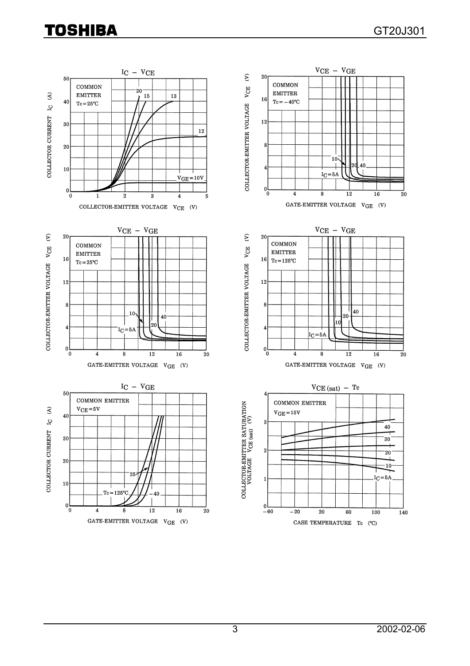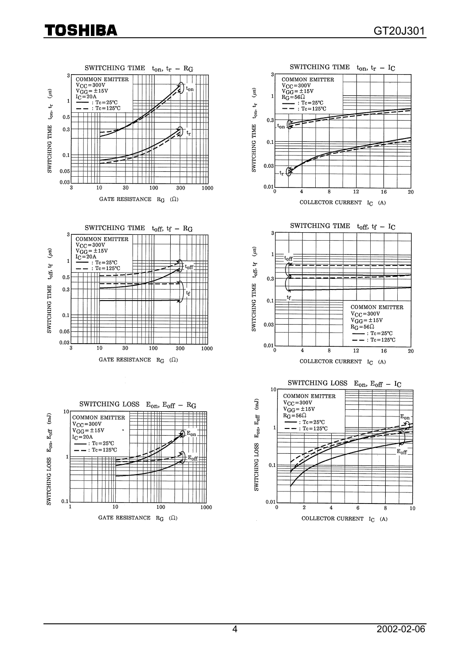## Toshiba

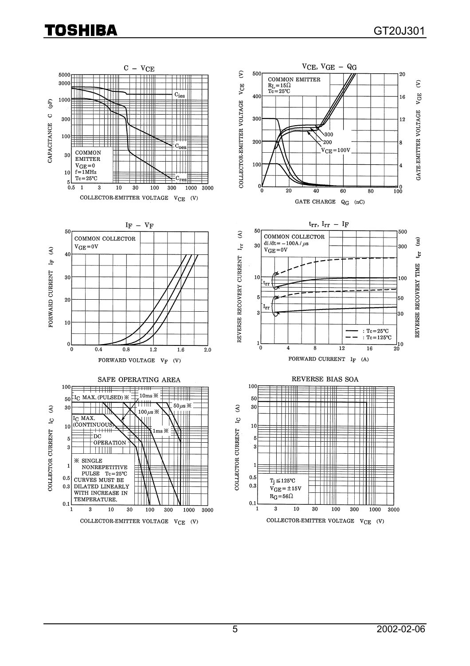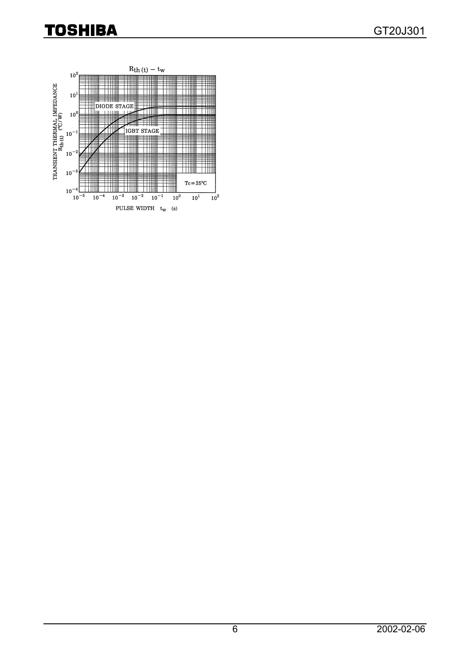